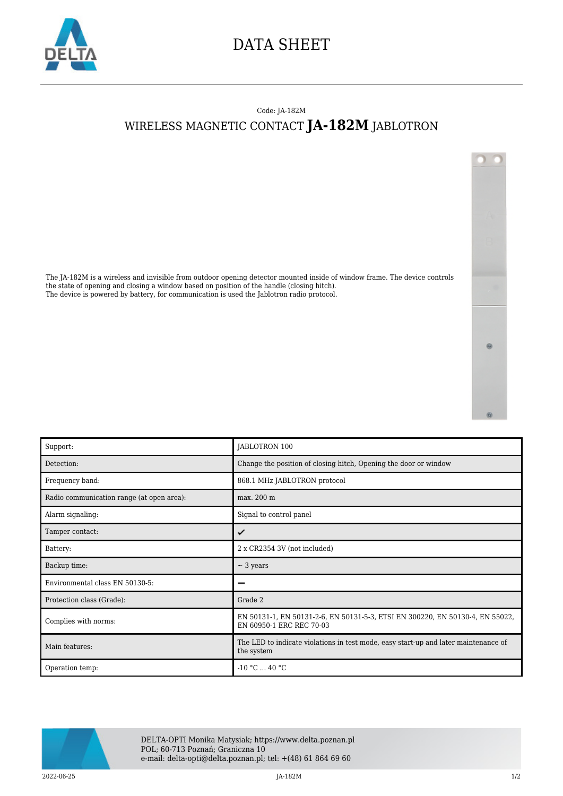

## DATA SHEET

## Code: JA-182M WIRELESS MAGNETIC CONTACT **JA-182M** JABLOTRON



The JA-182M is a wireless and invisible from outdoor opening detector mounted inside of window frame. The device controls the state of opening and closing a window based on position of the handle (closing hitch). The device is powered by battery, for communication is used the Jablotron radio protocol.

| Support:                                  | JABLOTRON 100                                                                                             |
|-------------------------------------------|-----------------------------------------------------------------------------------------------------------|
| Detection:                                | Change the position of closing hitch, Opening the door or window                                          |
| Frequency band:                           | 868.1 MHz JABLOTRON protocol                                                                              |
| Radio communication range (at open area): | max. 200 m                                                                                                |
| Alarm signaling:                          | Signal to control panel                                                                                   |
| Tamper contact:                           | ✓                                                                                                         |
| Battery:                                  | 2 x CR2354 3V (not included)                                                                              |
| Backup time:                              | $\sim$ 3 years                                                                                            |
| Environmental class EN 50130-5:           | _                                                                                                         |
| Protection class (Grade):                 | Grade 2                                                                                                   |
| Complies with norms:                      | EN 50131-1, EN 50131-2-6, EN 50131-5-3, ETSI EN 300220, EN 50130-4, EN 55022,<br>EN 60950-1 ERC REC 70-03 |
| Main features:                            | The LED to indicate violations in test mode, easy start-up and later maintenance of<br>the system         |
| Operation temp:                           | $-10 °C$ 40 °C                                                                                            |



DELTA-OPTI Monika Matysiak; https://www.delta.poznan.pl POL; 60-713 Poznań; Graniczna 10 e-mail: delta-opti@delta.poznan.pl; tel: +(48) 61 864 69 60